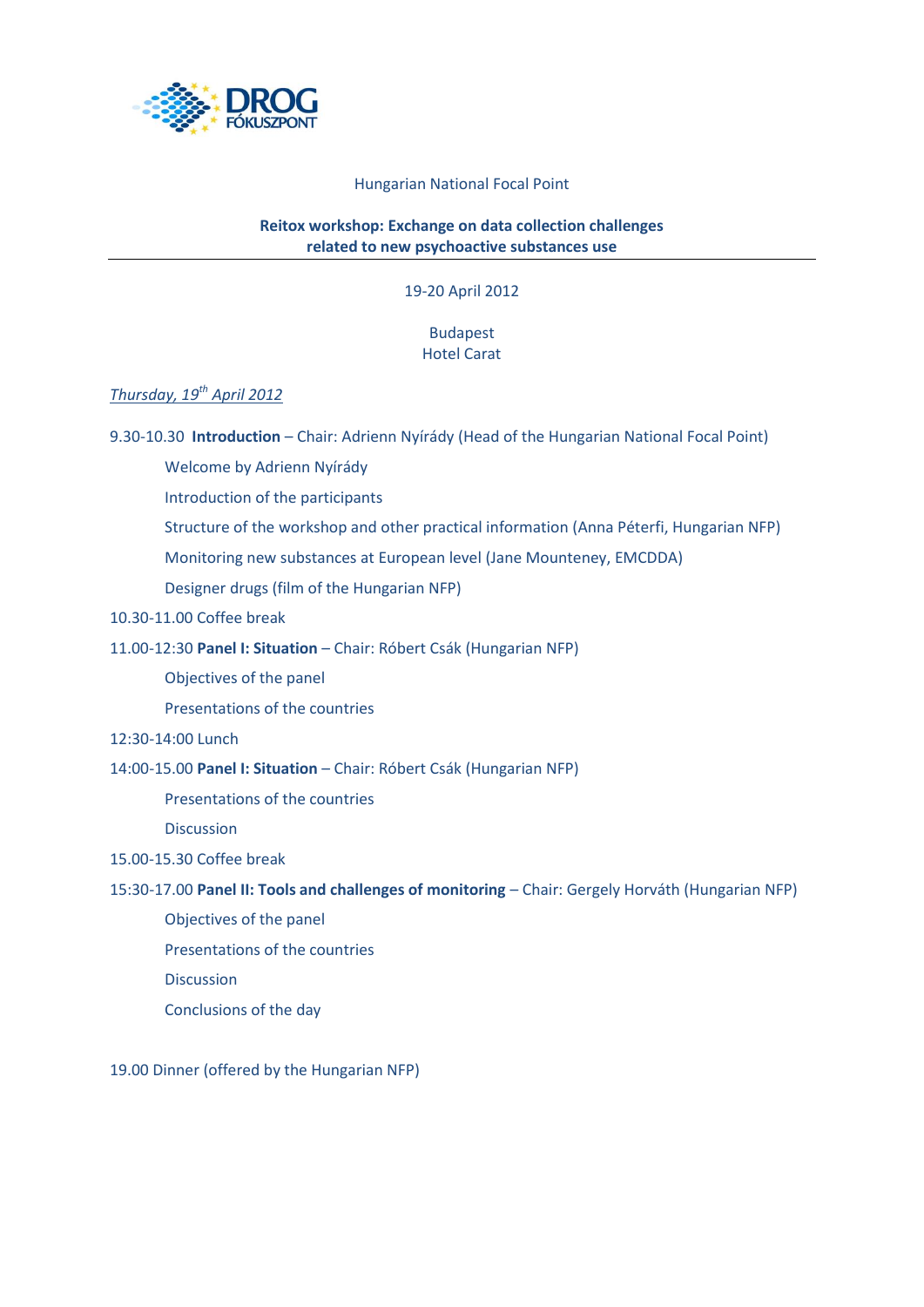

## Hungarian National Focal Point

## **Reitox workshop: Exchange on data collection challenges related to new psychoactive substances use**

19-20 April 2012

# Budapest Hotel Carat

# *Thursday, 19th April 2012*

9.30-10.30 **Introduction** – Chair: Adrienn Nyírády (Head of the Hungarian National Focal Point)

Welcome by Adrienn Nyírády

Introduction of the participants

Structure of the workshop and other practical information (Anna Péterfi, Hungarian NFP)

Monitoring new substances at European level (Jane Mounteney, EMCDDA)

Designer drugs (film of the Hungarian NFP)

10.30-11.00 Coffee break

#### 11.00-12:30 **Panel I: Situation** – Chair: Róbert Csák (Hungarian NFP)

Objectives of the panel

Presentations of the countries

#### 12:30-14:00 Lunch

# 14:00-15.00 **Panel I: Situation** – Chair: Róbert Csák (Hungarian NFP)

Presentations of the countries

Discussion

## 15.00-15.30 Coffee break

#### 15:30-17.00 **Panel II: Tools and challenges of monitoring** – Chair: Gergely Horváth (Hungarian NFP)

- Objectives of the panel
- Presentations of the countries

**Discussion** 

Conclusions of the day

19.00 Dinner (offered by the Hungarian NFP)